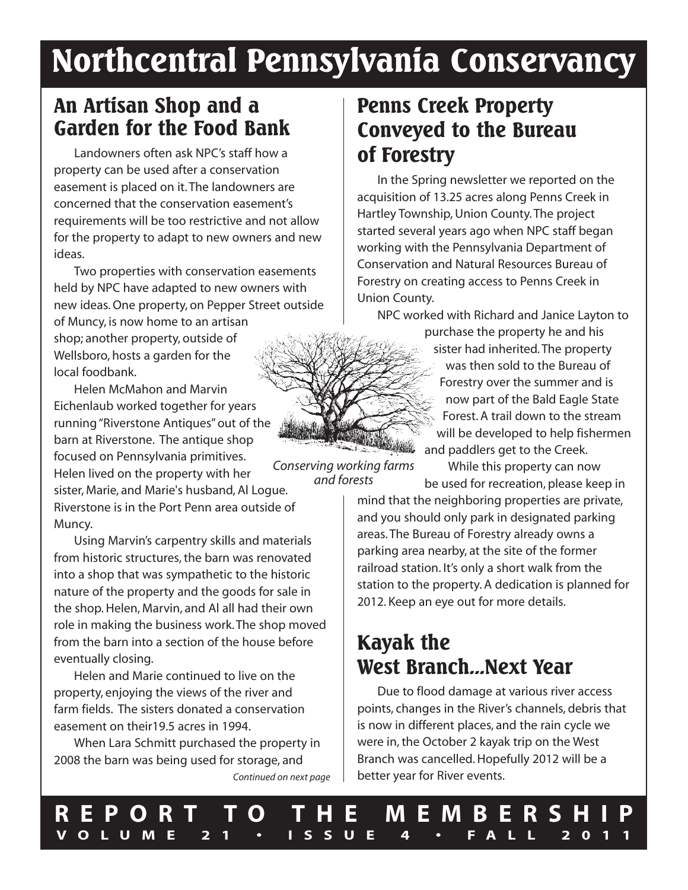# **Northcentral Pennsylvania Conservancy**

### **An Artisan Shop and a Garden for the Food Bank**

Landowners often ask NPC's staff how a property can be used after a conservation easement is placed on it.The landowners are concerned that the conservation easement's requirements will be too restrictive and not allow for the property to adapt to new owners and new ideas.

Two properties with conservation easements held by NPC have adapted to new owners with new ideas.One property, on Pepper Street outside of Muncy, is now home to an artisan shop; another property, outside of Wellsboro, hosts a garden for the local foodbank.

Helen McMahon and Marvin Eichenlaub worked together for years running"Riverstone Antiques"out of the barn at Riverstone. The antique shop focused on Pennsylvania primitives. Helen lived on the property with her sister, Marie, and Marie's husband, Al Logue. Riverstone is in the Port Penn area outside of

Muncy.

Using Marvin's carpentry skills and materials from historic structures, the barn was renovated into a shop that was sympathetic to the historic nature of the property and the goods for sale in the shop. Helen, Marvin, and Al all had their own role in making the business work.The shop moved from the barn into a section of the house before eventually closing.

Helen and Marie continued to live on the property, enjoying the views of the river and farm fields. The sisters donated a conservation easement on their19.5 acres in 1994.

When Lara Schmitt purchased the property in 2008 the barn was being used for storage, and *Continued on next page*

### **Penns Creek Property Conveyed to the Bureau of Forestry**

In the Spring newsletter we reported on the acquisition of 13.25 acres along Penns Creek in Hartley Township, Union County.The project started several years ago when NPC staff began working with the Pennsylvania Department of Conservation and Natural Resources Bureau of Forestry on creating access to Penns Creek in Union County.

NPC worked with Richard and Janice Layton to purchase the property he and his sister had inherited.The property was then sold to the Bureau of Forestry over the summer and is now part of the Bald Eagle State Forest. A trail down to the stream will be developed to help fishermen and paddlers get to the Creek.

While this property can now be used for recreation, please keep in

mind that the neighboring properties are private, and you should only park in designated parking areas.The Bureau of Forestry already owns a parking area nearby, at the site of the former railroad station. It's only a short walk from the station to the property. A dedication is planned for 2012. Keep an eye out for more details.

# **Kayak the West Branch...Next Year**

Due to flood damage at various river access points, changes in the River's channels, debris that is now in different places, and the rain cycle we were in, the October 2 kayak trip on the West Branch was cancelled.Hopefully 2012 will be a better year for River events.

*Conserving working farms and forests*

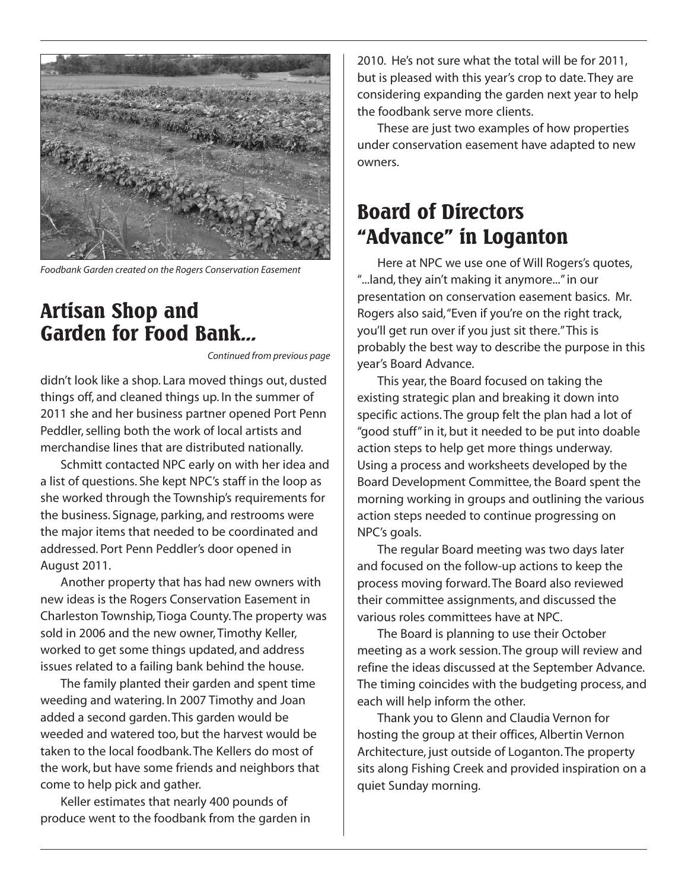

*Foodbank Garden created on the Rogers Conservation Easement*

### **Artisan Shop and Garden for Food Bank...**

*Continued from previous page*

didn't look like a shop. Lara moved things out, dusted things off, and cleaned things up. In the summer of 2011 she and her business partner opened Port Penn Peddler, selling both the work of local artists and merchandise lines that are distributed nationally.

Schmitt contacted NPC early on with her idea and a list of questions. She kept NPC's staff in the loop as she worked through the Township's requirements for the business. Signage, parking, and restrooms were the major items that needed to be coordinated and addressed. Port Penn Peddler's door opened in August 2011.

Another property that has had new owners with new ideas is the Rogers Conservation Easement in Charleston Township,Tioga County.The property was sold in 2006 and the new owner, Timothy Keller, worked to get some things updated, and address issues related to a failing bank behind the house.

The family planted their garden and spent time weeding and watering. In 2007 Timothy and Joan added a second garden.This garden would be weeded and watered too, but the harvest would be taken to the local foodbank.The Kellers do most of the work, but have some friends and neighbors that come to help pick and gather.

Keller estimates that nearly 400 pounds of produce went to the foodbank from the garden in

2010. He's not sure what the total will be for 2011, but is pleased with this year's crop to date.They are considering expanding the garden next year to help the foodbank serve more clients.

These are just two examples of how properties under conservation easement have adapted to new owners.

### **Board of Directors "Advance" in Loganton**

Here at NPC we use one of Will Rogers's quotes, "...land, they ain't making it anymore..." in our presentation on conservation easement basics. Mr. Rogers also said,"Even if you're on the right track, you'll get run over if you just sit there."This is probably the best way to describe the purpose in this year's Board Advance.

This year, the Board focused on taking the existing strategic plan and breaking it down into specific actions.The group felt the plan had a lot of "good stuff"in it, but it needed to be put into doable action steps to help get more things underway. Using a process and worksheets developed by the Board Development Committee, the Board spent the morning working in groups and outlining the various action steps needed to continue progressing on NPC's goals.

The regular Board meeting was two days later and focused on the follow-up actions to keep the process moving forward.The Board also reviewed their committee assignments, and discussed the various roles committees have at NPC.

The Board is planning to use their October meeting as a work session.The group will review and refine the ideas discussed at the September Advance. The timing coincides with the budgeting process, and each will help inform the other.

Thank you to Glenn and Claudia Vernon for hosting the group at their offices, Albertin Vernon Architecture, just outside of Loganton.The property sits along Fishing Creek and provided inspiration on a quiet Sunday morning.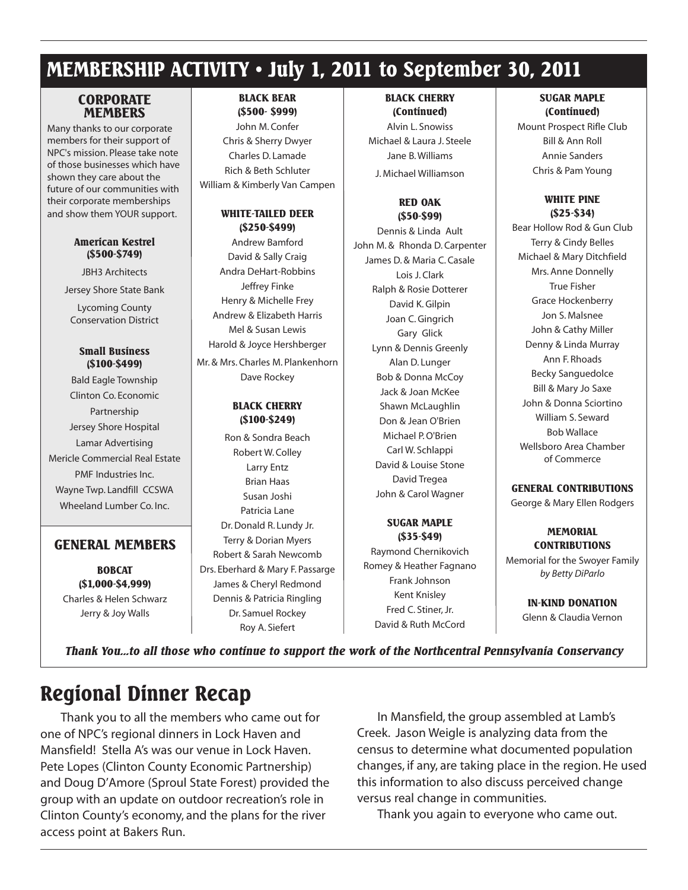### **MEMBERSHIP ACTIVITY • July 1, 2011 to September 30, 2011**

#### **CORPORATE MEMBERS**

Many thanks to our corporate members for their support of NPC's mission. Please take note of those businesses which have shown they care about the future of our communities with their corporate memberships and show them YOUR support.

#### **American Kestrel (\$500-\$749)**

JBH3 Architects Jersey Shore State Bank

Lycoming County Conservation District

#### **Small Business (\$100-\$499)**

Bald Eagle Township Clinton Co. Economic Partnership Jersey Shore Hospital Lamar Advertising Mericle Commercial Real Estate PMF Industries Inc. Wayne Twp. Landfill CCSWA Wheeland Lumber Co. Inc.

#### **GENERAL MEMBERS**

**BOBCAT (\$1,000-\$4,999)** Charles & Helen Schwarz Jerry & Joy Walls

#### **BLACK BEAR (\$500- \$999)**

John M. Confer Chris & Sherry Dwyer Charles D. Lamade Rich & Beth Schluter William & Kimberly Van Campen

#### **WHITE-TAILED DEER (\$250-\$499)**

Andrew Bamford David & Sally Craig Andra DeHart-Robbins Jeffrey Finke Henry & Michelle Frey Andrew & Elizabeth Harris Mel & Susan Lewis Harold & Joyce Hershberger Mr. & Mrs. Charles M. Plankenhorn Dave Rockey

#### **BLACK CHERRY (\$100-\$249)**

Ron & Sondra Beach Robert W. Colley Larry Entz Brian Haas Susan Joshi Patricia Lane Dr.Donald R. Lundy Jr. Terry & Dorian Myers Robert & Sarah Newcomb Drs. Eberhard & Mary F. Passarge James & Cheryl Redmond Dennis & Patricia Ringling Dr. Samuel Rockey Roy A. Siefert

#### **BLACK CHERRY (Continued)**

Alvin L. Snowiss Michael & Laura J. Steele Jane B.Williams J. Michael Williamson

#### **RED OAK (\$50-\$99)**

Dennis & Linda Ault John M. & Rhonda D. Carpenter James D. & Maria C. Casale Lois J. Clark Ralph & Rosie Dotterer David K.Gilpin Joan C.Gingrich Gary Glick Lynn & Dennis Greenly Alan D. Lunger Bob & Donna McCoy Jack & Joan McKee Shawn McLaughlin Don & Jean O'Brien Michael P.O'Brien Carl W. Schlappi David & Louise Stone David Tregea John & Carol Wagner

#### **SUGAR MAPLE (\$35-\$49)**

Raymond Chernikovich Romey & Heather Fagnano Frank Johnson Kent Knisley Fred C. Stiner, Jr. David & Ruth McCord

#### **SUGAR MAPLE (Continued)**

Mount Prospect Rifle Club Bill & Ann Roll Annie Sanders Chris & Pam Young

#### **WHITE PINE (\$25-\$34)**

Bear Hollow Rod & Gun Club Terry & Cindy Belles Michael & Mary Ditchfield Mrs. Anne Donnelly True Fisher Grace Hockenberry Jon S. Malsnee John & Cathy Miller Denny & Linda Murray Ann F. Rhoads Becky Sanguedolce Bill & Mary Jo Saxe John & Donna Sciortino William S. Seward Bob Wallace Wellsboro Area Chamber of Commerce

#### **GENERAL CONTRIBUTIONS**

George & Mary Ellen Rodgers

### **MEMORIAL CONTRIBUTIONS**

Memorial for the Swoyer Family *by Betty DiParlo*

> **IN-KIND DONATION** Glenn & Claudia Vernon

*Thank You...to all those who continue to support the work of the Northcentral Pennsylvania Conservancy*

# **Regional Dinner Recap**

Thank you to all the members who came out for one of NPC's regional dinners in Lock Haven and Mansfield! Stella A's was our venue in Lock Haven. Pete Lopes (Clinton County Economic Partnership) and Doug D'Amore (Sproul State Forest) provided the group with an update on outdoor recreation's role in Clinton County's economy, and the plans for the river access point at Bakers Run.

In Mansfield, the group assembled at Lamb's Creek. Jason Weigle is analyzing data from the census to determine what documented population changes, if any, are taking place in the region.He used this information to also discuss perceived change versus real change in communities.

Thank you again to everyone who came out.